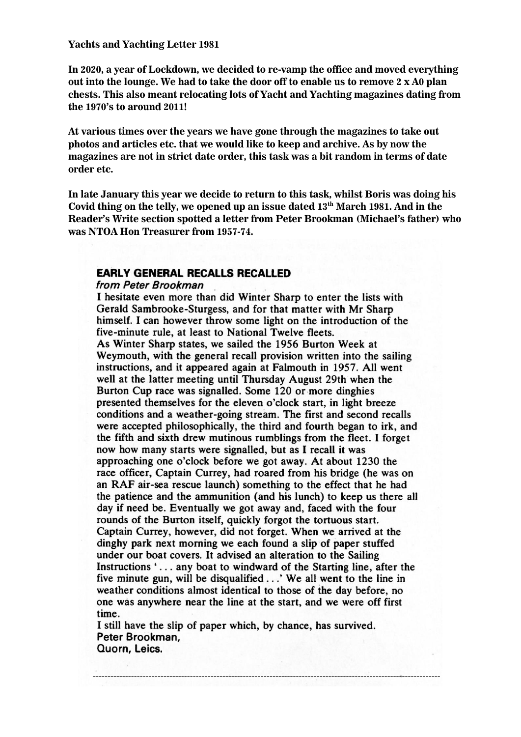**In 2020, a year of Lockdown, we decided to re-vamp the office and moved everything out into the lounge. We had to take the door off to enable us to remove 2 x A0 plan chests. This also meant relocating lots of Yacht and Yachting magazines dating from the 1970's to around 2011!**

**At various times over the years we have gone through the magazines to take out photos and articles etc. that we would like to keep and archive. As by now the magazines are not in strict date order, this task was a bit random in terms of date order etc.** 

**In late January this year we decide to return to this task, whilst Boris was doing his Covid thing on the telly, we opened up an issue dated 13th March 1981. And in the Reader's Write section spotted a letter from Peter Brookman (Michael's father) who was NTOA Hon Treasurer from 1957-74.**

## **EARLY GENERAL RECALLS RECALLED**

## from Peter Brookman

I hesitate even more than did Winter Sharp to enter the lists with Gerald Sambrooke-Sturgess, and for that matter with Mr Sharp himself. I can however throw some light on the introduction of the five-minute rule, at least to National Twelve fleets. As Winter Sharp states, we sailed the 1956 Burton Week at Weymouth, with the general recall provision written into the sailing instructions, and it appeared again at Falmouth in 1957. All went well at the latter meeting until Thursday August 29th when the Burton Cup race was signalled. Some 120 or more dinghies presented themselves for the eleven o'clock start, in light breeze conditions and a weather-going stream. The first and second recalls were accepted philosophically, the third and fourth began to irk, and the fifth and sixth drew mutinous rumblings from the fleet. I forget now how many starts were signalled, but as I recall it was approaching one o'clock before we got away. At about 1230 the race officer, Captain Currey, had roared from his bridge (he was on an RAF air-sea rescue launch) something to the effect that he had the patience and the ammunition (and his lunch) to keep us there all day if need be. Eventually we got away and, faced with the four rounds of the Burton itself, quickly forgot the tortuous start. Captain Currey, however, did not forget. When we arrived at the dinghy park next morning we each found a slip of paper stuffed under our boat covers. It advised an alteration to the Sailing Instructions '... any boat to windward of the Starting line, after the five minute gun, will be disqualified . . .' We all went to the line in weather conditions almost identical to those of the day before, no one was anywhere near the line at the start, and we were off first time.

I still have the slip of paper which, by chance, has survived. Peter Brookman, Quorn, Leics.

----------------------------------------------------------------------------------------------------------------------